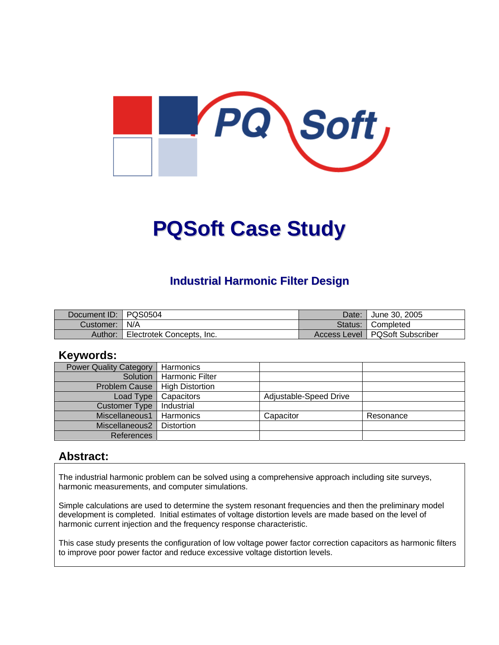

# **PQSoft Case Study**

## **Industrial Harmonic Filter Design**

| Document ID:   PQS0504 |                           | Date: | <sup>1</sup> June 30, 2005       |
|------------------------|---------------------------|-------|----------------------------------|
| Customer:   N/A        |                           |       | Status: Completed                |
| Author:                | Electrotek Concepts, Inc. |       | Access Level   PQSoft Subscriber |

#### **Keywords:**

| <b>Power Quality Category</b> | Harmonics              |                        |           |
|-------------------------------|------------------------|------------------------|-----------|
| Solution                      | l Harmonic Filter      |                        |           |
| <b>Problem Cause</b>          | <b>High Distortion</b> |                        |           |
| Load Type                     | Capacitors             | Adjustable-Speed Drive |           |
| <b>Customer Type</b>          | Industrial             |                        |           |
| Miscellaneous1                | Harmonics              | Capacitor              | Resonance |
| Miscellaneous2                | <b>Distortion</b>      |                        |           |
| <b>References</b>             |                        |                        |           |

#### **Abstract:**

The industrial harmonic problem can be solved using a comprehensive approach including site surveys, harmonic measurements, and computer simulations.

Simple calculations are used to determine the system resonant frequencies and then the preliminary model development is completed. Initial estimates of voltage distortion levels are made based on the level of harmonic current injection and the frequency response characteristic.

This case study presents the configuration of low voltage power factor correction capacitors as harmonic filters to improve poor power factor and reduce excessive voltage distortion levels.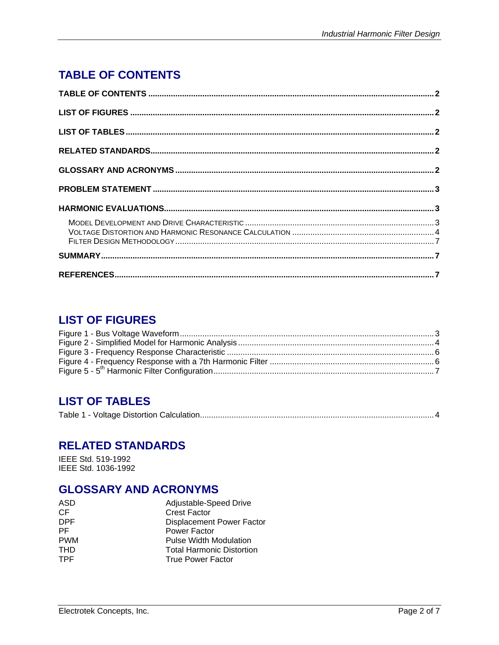# <span id="page-1-0"></span>**TABLE OF CONTENTS**

# **LIST OF FIGURES**

# **LIST OF TABLES**

|--|--|--|--|

#### **RELATED STANDARDS**

IEEE Std. 519-1992 IEEE Std. 1036-1992

## **GLOSSARY AND ACRONYMS**

| ASD        | Adjustable-Speed Drive           |
|------------|----------------------------------|
| CF         | <b>Crest Factor</b>              |
| DPF        | <b>Displacement Power Factor</b> |
| PF.        | Power Factor                     |
| <b>PWM</b> | <b>Pulse Width Modulation</b>    |
| <b>THD</b> | <b>Total Harmonic Distortion</b> |
| <b>TPF</b> | <b>True Power Factor</b>         |
|            |                                  |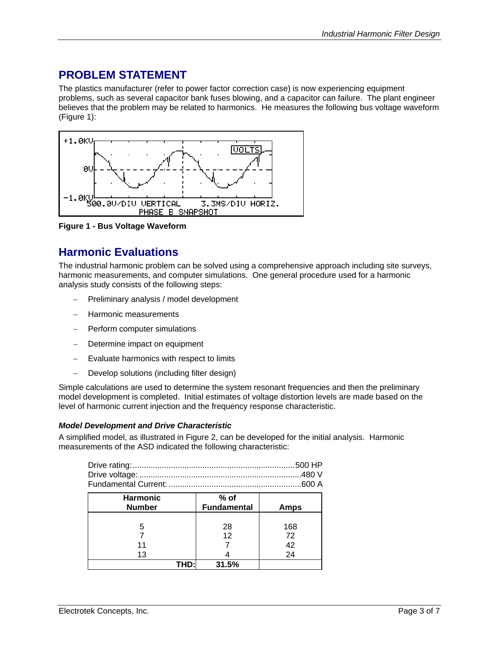# <span id="page-2-0"></span>**PROBLEM STATEMENT**

The plastics manufacturer (refer to power factor correction case) is now experiencing equipment problems, such as several capacitor bank fuses blowing, and a capacitor can failure. The plant engineer believes that the problem may be related to harmonics. He measures the following bus voltage waveform [\(Figure 1\)](#page-2-1):

<span id="page-2-1"></span>

**Figure 1 - Bus Voltage Waveform** 

# **Harmonic Evaluations**

The industrial harmonic problem can be solved using a comprehensive approach including site surveys, harmonic measurements, and computer simulations. One general procedure used for a harmonic analysis study consists of the following steps:

- − Preliminary analysis / model development
- − Harmonic measurements
- − Perform computer simulations
- Determine impact on equipment
- Evaluate harmonics with respect to limits
- − Develop solutions (including filter design)

Simple calculations are used to determine the system resonant frequencies and then the preliminary model development is completed. Initial estimates of voltage distortion levels are made based on the level of harmonic current injection and the frequency response characteristic.

#### *Model Development and Drive Characteristic*

A simplified model, as illustrated in [Figure 2,](#page-3-1) can be developed for the initial analysis. Harmonic measurements of the ASD indicated the following characteristic:

| <b>Harmonic</b><br><b>Number</b> | $%$ of<br><b>Fundamental</b> | Amps            |
|----------------------------------|------------------------------|-----------------|
| 5                                | 28<br>12                     | 168<br>72<br>42 |
| 13<br>THD:                       | 31.5%                        | 24              |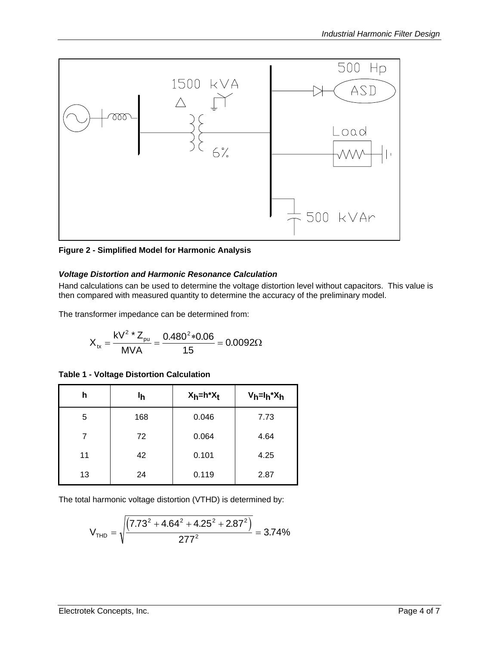<span id="page-3-1"></span><span id="page-3-0"></span>

**Figure 2 - Simplified Model for Harmonic Analysis** 

#### *Voltage Distortion and Harmonic Resonance Calculation*

Hand calculations can be used to determine the voltage distortion level without capacitors. This value is then compared with measured quantity to determine the accuracy of the preliminary model.

The transformer impedance can be determined from:

$$
X_{tx} = \frac{kV^2 * Z_{pu}}{MVA} = \frac{0.480^2 * 0.06}{1.5} = 0.0092 \Omega
$$

|  |  |  | <b>Table 1 - Voltage Distortion Calculation</b> |
|--|--|--|-------------------------------------------------|
|--|--|--|-------------------------------------------------|

| h  | Ιh  | $X_h = h^*X_t$ | $V_h = I_h^* X_h$ |
|----|-----|----------------|-------------------|
| 5  | 168 | 0.046          | 7.73              |
| 7  | 72  | 0.064          | 4.64              |
| 11 | 42  | 0.101          | 4.25              |
| 13 | 24  | 0.119          | 2.87              |

The total harmonic voltage distortion (VTHD) is determined by:

$$
V_{\text{THD}} = \sqrt{\frac{\left(7.73^2 + 4.64^2 + 4.25^2 + 2.87^2\right)}{277^2}} = 3.74\%
$$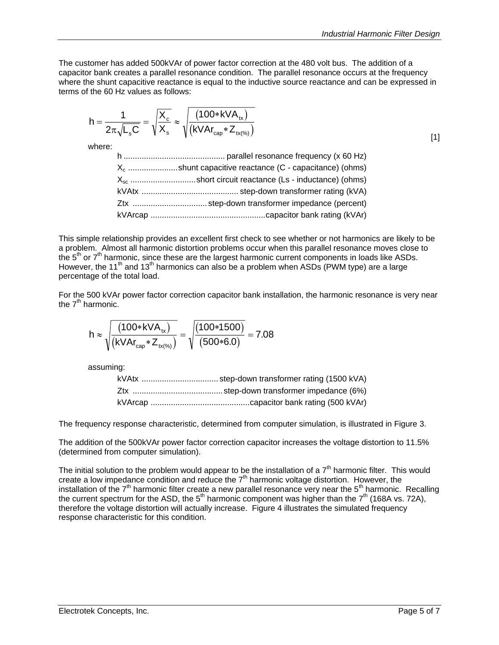The customer has added 500kVAr of power factor correction at the 480 volt bus. The addition of a capacitor bank creates a parallel resonance condition. The parallel resonance occurs at the frequency where the shunt capacitive reactance is equal to the inductive source reactance and can be expressed in terms of the 60 Hz values as follows:

$$
h = \frac{1}{2\pi\sqrt{L_s C}} = \sqrt{\frac{X_c}{X_s}} \approx \sqrt{\frac{(100 * kVA_{tx})}{(kVAr_{cap} * Z_{tx(^{96})})}}
$$

where:

| $X_c$ shunt capacitive reactance (C - capacitance) (ohms) |  |
|-----------------------------------------------------------|--|
| $X_{sc}$ short circuit reactance (Ls - inductance) (ohms) |  |
|                                                           |  |
|                                                           |  |
|                                                           |  |

This simple relationship provides an excellent first check to see whether or not harmonics are likely to be a problem. Almost all harmonic distortion problems occur when this parallel resonance moves close to the  $5<sup>th</sup>$  or  $7<sup>th</sup>$  harmonic, since these are the largest harmonic current components in loads like ASDs. However, the 11<sup>th</sup> and 13<sup>th</sup> harmonics can also be a problem when ASDs (PWM type) are a large percentage of the total load.

For the 500 kVAr power factor correction capacitor bank installation, the harmonic resonance is very near the  $7<sup>th</sup>$  harmonic.

$$
h \approx \sqrt{\frac{\left(100 * kVA_{tx}\right)}{\left(kVAr_{cap} * Z_{tx(\%)}\right)}} = \sqrt{\frac{\left(100 * 1500\right)}{\left(500 * 6.0\right)}} = 7.08
$$

assuming:

The frequency response characteristic, determined from computer simulation, is illustrated in [Figure 3.](#page-5-1)

The addition of the 500kVAr power factor correction capacitor increases the voltage distortion to 11.5% (determined from computer simulation).

The initial solution to the problem would appear to be the installation of a  $7<sup>th</sup>$  harmonic filter. This would create a low impedance condition and reduce the  $7<sup>th</sup>$  harmonic voltage distortion. However, the installation of the 7<sup>th</sup> harmonic filter create a new parallel resonance very near the 5<sup>th</sup> harmonic. Recalling the current spectrum for the ASD, the 5<sup>th</sup> harmonic component was higher than the 7<sup>th</sup> (168A vs. 72A), therefore the voltage distortion will actually increase. [Figure 4](#page-5-2) illustrates the simulated frequency response characteristic for this condition.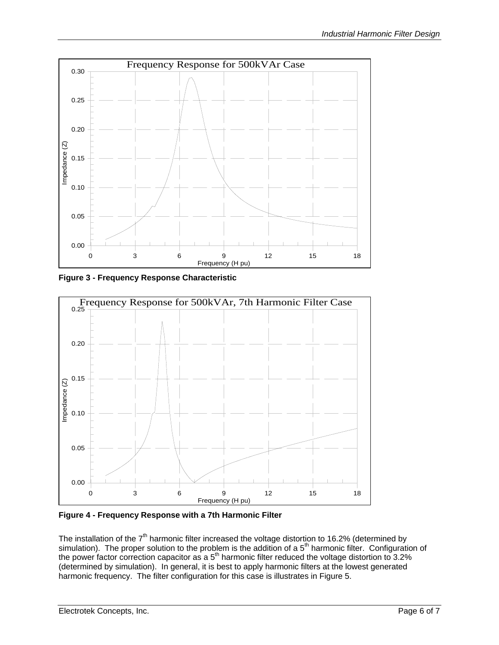<span id="page-5-1"></span><span id="page-5-0"></span>

**Figure 3 - Frequency Response Characteristic** 

<span id="page-5-2"></span>

**Figure 4 - Frequency Response with a 7th Harmonic Filter** 

The installation of the  $7<sup>th</sup>$  harmonic filter increased the voltage distortion to 16.2% (determined by simulation). The proper solution to the problem is the addition of a  $5<sup>th</sup>$  harmonic filter. Configuration of the power factor correction capacitor as a 5<sup>th</sup> harmonic filter reduced the voltage distortion to 3.2% (determined by simulation). In general, it is best to apply harmonic filters at the lowest generated harmonic frequency. The filter configuration for this case is illustrates in [Figure 5.](#page-6-1)